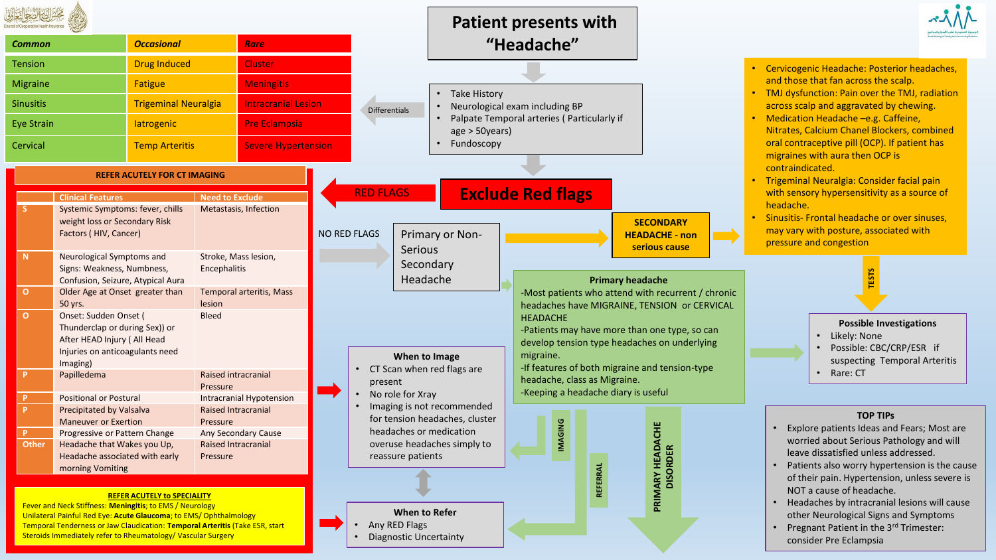

|                                                                                                                                                                                                                                                                                                                                         |                                                                                                                                                  |                                                                                                                                               |                                        |                            | <b>Patient presents with</b>                   |                                                              |                                                                     |                                                                                                                                                                                                 |                                                                                                                                |                                                                                                                                                                                                                                                                                           |  |
|-----------------------------------------------------------------------------------------------------------------------------------------------------------------------------------------------------------------------------------------------------------------------------------------------------------------------------------------|--------------------------------------------------------------------------------------------------------------------------------------------------|-----------------------------------------------------------------------------------------------------------------------------------------------|----------------------------------------|----------------------------|------------------------------------------------|--------------------------------------------------------------|---------------------------------------------------------------------|-------------------------------------------------------------------------------------------------------------------------------------------------------------------------------------------------|--------------------------------------------------------------------------------------------------------------------------------|-------------------------------------------------------------------------------------------------------------------------------------------------------------------------------------------------------------------------------------------------------------------------------------------|--|
| Common                                                                                                                                                                                                                                                                                                                                  |                                                                                                                                                  | <b>Occasional</b>                                                                                                                             | Rare                                   |                            |                                                | "Headache"                                                   |                                                                     |                                                                                                                                                                                                 |                                                                                                                                |                                                                                                                                                                                                                                                                                           |  |
| <b>Tension</b>                                                                                                                                                                                                                                                                                                                          |                                                                                                                                                  | <b>Drug Induced</b>                                                                                                                           | Cluster                                |                            |                                                |                                                              |                                                                     |                                                                                                                                                                                                 |                                                                                                                                | • Cervicogenic Headache: Posterior headaches,                                                                                                                                                                                                                                             |  |
| <b>Migraine</b>                                                                                                                                                                                                                                                                                                                         |                                                                                                                                                  | <b>Fatigue</b>                                                                                                                                | <b>Meningitis</b>                      |                            |                                                |                                                              |                                                                     |                                                                                                                                                                                                 |                                                                                                                                | and those that fan across the scalp.                                                                                                                                                                                                                                                      |  |
| <b>Sinusitis</b>                                                                                                                                                                                                                                                                                                                        |                                                                                                                                                  | <b>Trigeminal Neuralgia</b>                                                                                                                   | <b>Intracranial Lesion</b>             |                            | <b>Differentials</b>                           | <b>Take History</b>                                          | Neurological exam including BP                                      |                                                                                                                                                                                                 |                                                                                                                                | • TMJ dysfunction: Pain over the TMJ, radiation<br>across scalp and aggravated by chewing.                                                                                                                                                                                                |  |
| <b>Eye Strain</b>                                                                                                                                                                                                                                                                                                                       |                                                                                                                                                  | latrogenic                                                                                                                                    | <b>Pre Eclampsia</b>                   |                            |                                                |                                                              | • Palpate Temporal arteries (Particularly if<br>$age > 50 years$ )  |                                                                                                                                                                                                 | • Medication Headache -e.g. Caffeine,<br>Nitrates, Calcium Chanel Blockers, combined                                           |                                                                                                                                                                                                                                                                                           |  |
| Cervical                                                                                                                                                                                                                                                                                                                                |                                                                                                                                                  | <b>Temp Arteritis</b>                                                                                                                         |                                        | <b>Severe Hypertension</b> |                                                | Fundoscopy                                                   |                                                                     |                                                                                                                                                                                                 | oral contraceptive pill (OCP). If patient has<br>migraines with aura then OCP is                                               |                                                                                                                                                                                                                                                                                           |  |
|                                                                                                                                                                                                                                                                                                                                         |                                                                                                                                                  | <b>REFER ACUTELY FOR CT IMAGING</b>                                                                                                           |                                        |                            |                                                |                                                              |                                                                     |                                                                                                                                                                                                 | contraindicated.                                                                                                               |                                                                                                                                                                                                                                                                                           |  |
|                                                                                                                                                                                                                                                                                                                                         | <b>Clinical Features</b>                                                                                                                         |                                                                                                                                               |                                        |                            | <b>RED FLAGS</b>                               |                                                              | <b>Exclude Red flags</b>                                            |                                                                                                                                                                                                 |                                                                                                                                | Trigeminal Neuralgia: Consider facial pain<br>with sensory hypersensitivity as a source of                                                                                                                                                                                                |  |
| S.                                                                                                                                                                                                                                                                                                                                      |                                                                                                                                                  | <b>Need to Exclude</b><br>Systemic Symptoms: fever, chills<br>Metastasis, Infection<br>weight loss or Secondary Risk<br>Factors (HIV, Cancer) |                                        | <b>NO RED FLAGS</b>        |                                                | Primary or Non-<br>Secondary<br>Headache                     |                                                                     | <b>SECONDARY</b><br><b>HEADACHE - non</b>                                                                                                                                                       | headache.<br>Sinusitis- Frontal headache or over sinuses,<br>may vary with posture, associated with<br>pressure and congestion |                                                                                                                                                                                                                                                                                           |  |
| ${\bf N}$                                                                                                                                                                                                                                                                                                                               | Neurological Symptoms and<br>Signs: Weakness, Numbness,<br>Confusion, Seizure, Atypical Aura                                                     |                                                                                                                                               | Stroke, Mass lesion,<br>Encephalitis   |                            | Serious                                        |                                                              |                                                                     | serious cause<br><b>Primary headache</b>                                                                                                                                                        |                                                                                                                                |                                                                                                                                                                                                                                                                                           |  |
| $\overline{O}$                                                                                                                                                                                                                                                                                                                          | Older Age at Onset greater than                                                                                                                  |                                                                                                                                               | Temporal arteritis, Mass               |                            |                                                |                                                              |                                                                     | -Most patients who attend with recurrent / chronic                                                                                                                                              |                                                                                                                                |                                                                                                                                                                                                                                                                                           |  |
| $\mathbf{O}$                                                                                                                                                                                                                                                                                                                            | 50 yrs.<br>Onset: Sudden Onset (<br>Thunderclap or during Sex)) or<br>After HEAD Injury (All Head<br>Injuries on anticoagulants need<br>Imaging) |                                                                                                                                               | lesion<br><b>Bleed</b>                 |                            |                                                | When to Image                                                | <b>HEADACHE</b><br>migraine.                                        | headaches have MIGRAINE, TENSION or CERVICAL<br>-Patients may have more than one type, so can<br>develop tension type headaches on underlying<br>-If features of both migraine and tension-type |                                                                                                                                | <b>Possible Investigations</b><br>Likely: None<br>Possible: CBC/CRP/ESR if<br>suspecting Temporal Arteritis                                                                                                                                                                               |  |
| P.                                                                                                                                                                                                                                                                                                                                      | Papilledema                                                                                                                                      |                                                                                                                                               | Raised intracranial<br>Pressure        |                            | CT Scan when red flags are<br>present          |                                                              | headache, class as Migraine.<br>-Keeping a headache diary is useful |                                                                                                                                                                                                 | Rare: CT                                                                                                                       |                                                                                                                                                                                                                                                                                           |  |
| P                                                                                                                                                                                                                                                                                                                                       | <b>Positional or Postural</b>                                                                                                                    |                                                                                                                                               | Intracranial Hypotension               |                            | No role for Xray                               |                                                              |                                                                     |                                                                                                                                                                                                 |                                                                                                                                |                                                                                                                                                                                                                                                                                           |  |
| P.                                                                                                                                                                                                                                                                                                                                      | Precipitated by Valsalva                                                                                                                         |                                                                                                                                               | <b>Raised Intracranial</b>             |                            |                                                | Imaging is not recommended<br>for tension headaches, cluster |                                                                     |                                                                                                                                                                                                 |                                                                                                                                | <b>TOP TIPS</b>                                                                                                                                                                                                                                                                           |  |
| P.                                                                                                                                                                                                                                                                                                                                      | <b>Maneuver or Exertion</b><br>Progressive or Pattern Change                                                                                     |                                                                                                                                               | Pressure<br>Any Secondary Cause        |                            | headaches or medication                        |                                                              |                                                                     |                                                                                                                                                                                                 |                                                                                                                                | Explore patients Ideas and Fears; Most are                                                                                                                                                                                                                                                |  |
| Other                                                                                                                                                                                                                                                                                                                                   | Headache that Wakes you Up,<br>Headache associated with early                                                                                    |                                                                                                                                               | <b>Raised Intracranial</b><br>Pressure |                            | reassure patients                              | overuse headaches simply to                                  | <b>IMAGING</b>                                                      |                                                                                                                                                                                                 |                                                                                                                                | worried about Serious Pathology and will<br>leave dissatisfied unless addressed.                                                                                                                                                                                                          |  |
| morning Vomiting<br><b>REFER ACUTELY to SPECIALITY</b><br>Fever and Neck Stiffness: Meningitis; to EMS / Neurology<br>Unilateral Painful Red Eye: Acute Glaucoma; to EMS/ Ophthalmology<br>Temporal Tenderness or Jaw Claudication: Temporal Arteritis (Take ESR, start<br>Steroids Immediately refer to Rheumatology/ Vascular Surgery |                                                                                                                                                  |                                                                                                                                               |                                        |                            | Any RED Flags<br><b>Diagnostic Uncertainty</b> | <b>When to Refer</b>                                         | <b>REFERRA</b>                                                      | <b>PRIMARY HEADACHE</b><br>DISORDER                                                                                                                                                             |                                                                                                                                | Patients also worry hypertension is the cause<br>of their pain. Hypertension, unless severe is<br>NOT a cause of headache.<br>• Headaches by intracranial lesions will cause<br>other Neurological Signs and Symptoms<br>Pregnant Patient in the 3rd Trimester:<br>consider Pre Eclamnsia |  |

<sup>rd</sup> Trimester: consider Pre Eclampsia

 $X\wedge X$